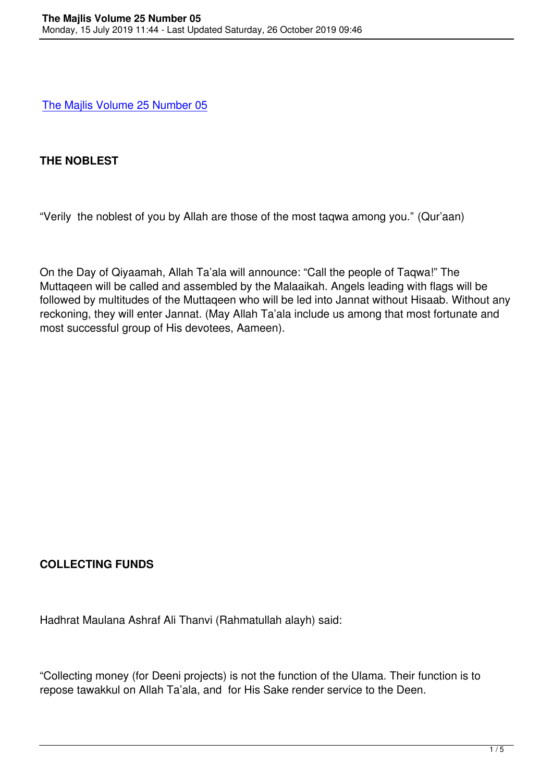## **[THE NOBLEST](books/MAJLIS VOL 25 NO 05.pdf)**

"Verily the noblest of you by Allah are those of the most taqwa among you." (Qur'aan)

On the Day of Qiyaamah, Allah Ta'ala will announce: "Call the people of Taqwa!" The Muttaqeen will be called and assembled by the Malaaikah. Angels leading with flags will be followed by multitudes of the Muttaqeen who will be led into Jannat without Hisaab. Without any reckoning, they will enter Jannat. (May Allah Ta'ala include us among that most fortunate and most successful group of His devotees, Aameen).

# **COLLECTING FUNDS**

Hadhrat Maulana Ashraf Ali Thanvi (Rahmatullah alayh) said:

"Collecting money (for Deeni projects) is not the function of the Ulama. Their function is to repose tawakkul on Allah Ta'ala, and for His Sake render service to the Deen.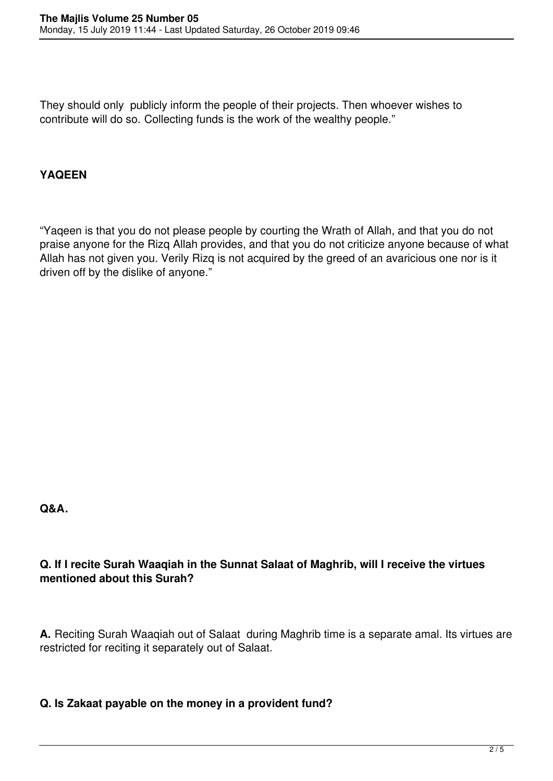They should only publicly inform the people of their projects. Then whoever wishes to contribute will do so. Collecting funds is the work of the wealthy people."

# **YAQEEN**

"Yaqeen is that you do not please people by courting the Wrath of Allah, and that you do not praise anyone for the Rizq Allah provides, and that you do not criticize anyone because of what Allah has not given you. Verily Rizq is not acquired by the greed of an avaricious one nor is it driven off by the dislike of anyone."

**Q&A.**

## **Q. If I recite Surah Waaqiah in the Sunnat Salaat of Maghrib, will I receive the virtues mentioned about this Surah?**

**A.** Reciting Surah Waaqiah out of Salaat during Maghrib time is a separate amal. Its virtues are restricted for reciting it separately out of Salaat.

#### **Q. Is Zakaat payable on the money in a provident fund?**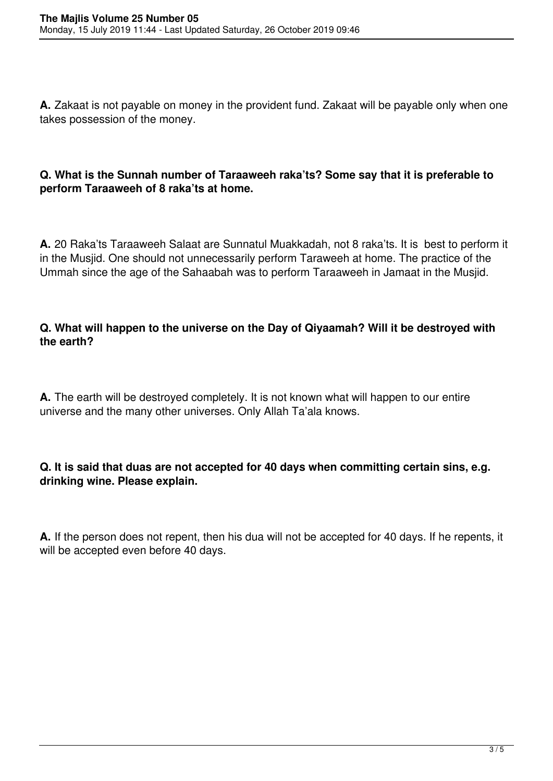**A.** Zakaat is not payable on money in the provident fund. Zakaat will be payable only when one takes possession of the money.

### **Q. What is the Sunnah number of Taraaweeh raka'ts? Some say that it is preferable to perform Taraaweeh of 8 raka'ts at home.**

**A.** 20 Raka'ts Taraaweeh Salaat are Sunnatul Muakkadah, not 8 raka'ts. It is best to perform it in the Musjid. One should not unnecessarily perform Taraweeh at home. The practice of the Ummah since the age of the Sahaabah was to perform Taraaweeh in Jamaat in the Musjid.

#### **Q. What will happen to the universe on the Day of Qiyaamah? Will it be destroyed with the earth?**

**A.** The earth will be destroyed completely. It is not known what will happen to our entire universe and the many other universes. Only Allah Ta'ala knows.

#### **Q. It is said that duas are not accepted for 40 days when committing certain sins, e.g. drinking wine. Please explain.**

**A.** If the person does not repent, then his dua will not be accepted for 40 days. If he repents, it will be accepted even before 40 days.